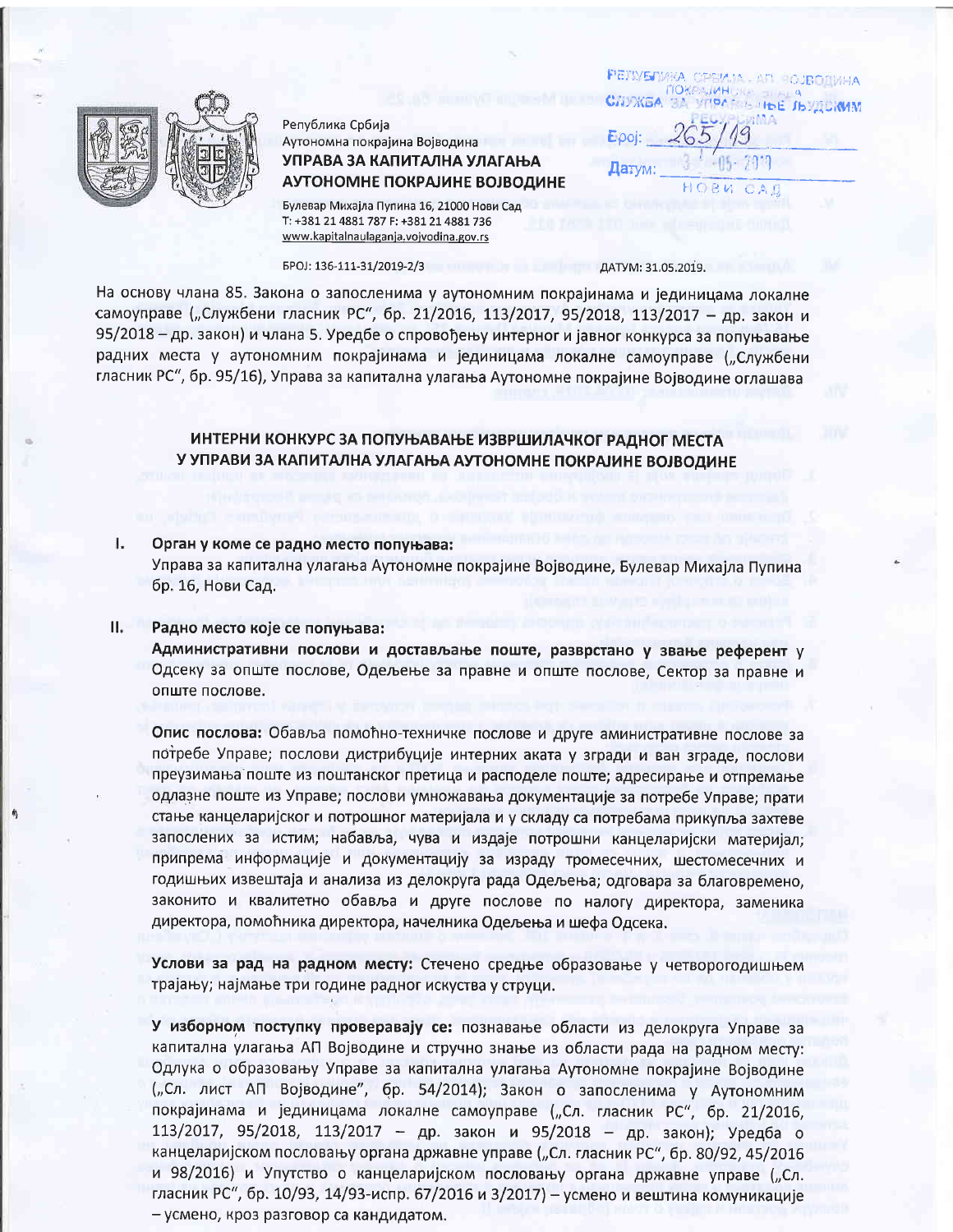

Република Србија Аутономна покрајина Војводина УПРАВА ЗА КАПИТАЛНА УЛАГАЊА АУТОНОМНЕ ПОКРАЈИНЕ ВОЈВОДИНЕ

Булевар Михајла Пупина 16, 21000 Нови Сад T: +381 21 4881 787 F: +381 21 4881 736 www.kapitalnaulaganja.vojvodina.gov.rs

### БРОЈ: 136-111-31/2019-2/3

ДАТУМ: 31.05.2019.

PENVERWICA

CHUXEA

Датум:

**CEEMIN** 

**HOBU** 

**MOAT A HOE JOYSE** 

CAB

На основу члана 85. Закона о запосленима у аутономним покрајинама и јединицама локалне самоуправе ("Службени гласник РС", бр. 21/2016, 113/2017, 95/2018, 113/2017 - др. закон и 95/2018 - др. закон) и члана 5. Уредбе о спровођењу интерног и јавног конкурса за попуњавање радних места у аутономним покрајинама и јединицама локалне самоуправе ("Службени гласник РС", бр. 95/16), Управа за капитална улагања Аутономне покрајине Војводине оглашава

# ИНТЕРНИ КОНКУРС ЗА ПОПУЊАВАЊЕ ИЗВРШИЛАЧКОГ РАДНОГ МЕСТА У УПРАВИ ЗА КАПИТАЛНА УЛАГАЊА АУТОНОМНЕ ПОКРАЈИНЕ ВОЈВОДИНЕ

#### I. Орган у коме се радно место попуњава:

Управа за капитална улагања Аутономне покрајине Војводине, Булевар Михајла Пупина бр. 16, Нови Сад.

#### $\Pi_{\epsilon}$ Радно место које се попуњава:

Административни послови и достављање поште, разврстано у звање референт у Одсеку за опште послове, Одељење за правне и опште послове, Сектор за правне и опште послове.

Опис послова: Обавља помоћно-техничке послове и друге аминистративне послове за потребе Управе; послови дистрибуције интерних аката у згради и ван зграде, послови преузимања поште из поштанског претица и расподеле поште; адресирање и отпремање одлазне поште из Управе; послови умножавања документације за потребе Управе; прати стање канцеларијског и потрошног материјала и у складу са потребама прикупља захтеве запослених за истим; набавља, чува и издаје потрошни канцеларијски материјал; припрема информације и документацију за израду тромесечних, шестомесечних и годишњих извештаја и анализа из делокруга рада Одељења; одговара за благовремено, законито и квалитетно обавља и друге послове по налогу директора, заменика директора, помоћника директора, начелника Одељења и шефа Одсека.

Услови за рад на радном месту: Стечено средње образовање у четворогодишњем трајању; најмање три године радног искуства у струци.

У изборном поступку проверавају се: познавање области из делокруга Управе за капитална улагања АП Војводине и стручно знање из области рада на радном месту: Одлука о образовању Управе за капитална улагања Аутономне покрајине Војводине ("Сл. лист АП Војводине", бр. 54/2014); Закон о запосленима у Аутономним покрајинама и јединицама локалне самоуправе ("Сл. гласник РС", бр. 21/2016, 113/2017, 95/2018, 113/2017 - др. закон и 95/2018 - др. закон); Уредба о канцеларијском пословању органа државне управе ("Сл. гласник РС", бр. 80/92, 45/2016 и 98/2016) и Упутство о канцеларијском пословању органа државне управе ("Сл. гласник РС", бр. 10/93, 14/93-испр. 67/2016 и 3/2017) - усмено и вештина комуникације - усмено, кроз разговор са кандидатом.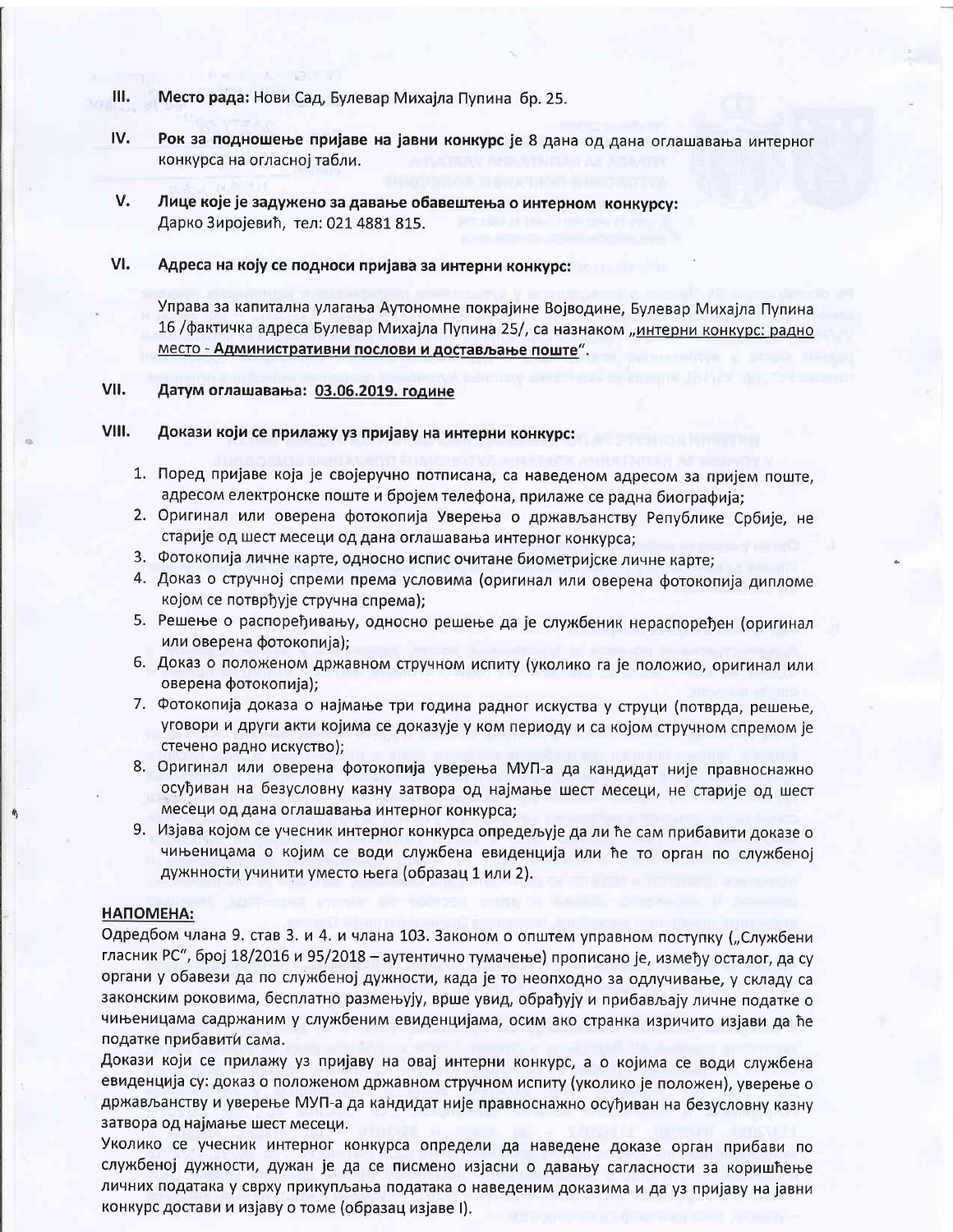- Ш. Место рада: Нови Сад, Булевар Михајла Пупина бр. 25.
- IV. Рок за подношење пријаве на јавни конкурс је 8 дана од дана оглашавања интерног конкурса на огласној табли.
- V. Лице које је задужено за давање обавештења о интерном конкурсу: Дарко Зиројевић, тел: 021 4881 815.
- VI. Адреса на коју се подноси пријава за интерни конкурс:

Управа за капитална улагања Аутономне покрајине Војводине, Булевар Михајла Пупина 16 /фактичка адреса Булевар Михајла Пупина 25/, са назнаком "интерни конкурс: радно место - Административни послови и достављање поште".

#### VII. Датум оглашавања: 03.06.2019. године

#### VIII. Докази који се прилажу уз пријаву на интерни конкурс:

- 1. Поред пријаве која је својеручно потписана, са наведеном адресом за пријем поште, адресом електронске поште и бројем телефона, прилаже се радна биографија;
- 2. Оригинал или оверена фотокопија Уверења о држављанству Републике Србије, не старије од шест месеци од дана оглашавања интерног конкурса;
- 3. Фотокопија личне карте, односно испис очитане биометријске личне карте;
- 4. Доказ о стручној спреми према условима (оригинал или оверена фотокопија дипломе којом се потврђује стручна спрема);
- 5. Решење о распоређивању, односно решење да је службеник нераспоређен (оригинал или оверена фотокопија);
- 6. Доказ о положеном државном стручном испиту (уколико га је положио, оригинал или оверена фотокопија);
- 7. Фотокопија доказа о најмање три година радног искуства у струци (потврда, решење, уговори и други акти којима се доказује у ком периоду и са којом стручном спремом је стечено радно искуство);
- 8. Оригинал или оверена фотокопија уверења МУП-а да кандидат није правноснажно осуђиван на безусловну казну затвора од најмање шест месеци, не старије од шест месеци од дана оглашавања интерног конкурса;
- 9. Изјава којом се учесник интерног конкурса опредељује да ли ће сам прибавити доказе о чињеницама о којим се води службена евиденција или ће то орган по службеној дужнности учинити уместо њега (образац 1 или 2).

### НАПОМЕНА:

Одредбом члана 9. став 3. и 4. и члана 103. Законом о општем управном поступку ("Службени гласник РС", број 18/2016 и 95/2018 - аутентично тумачење) прописано је, између осталог, да су органи у обавези да по службеној дужности, када је то неопходно за одлучивање, у складу са законским роковима, бесплатно размењују, врше увид, обрађују и прибављају личне податке о чињеницама садржаним у службеним евиденцијама, осим ако странка изричито изјави да ће податке прибавити сама.

Докази који се прилажу уз пријаву на овај интерни конкурс, а о којима се води службена евиденција су: доказ о положеном државном стручном испиту (уколико је положен), уверење о држављанству и уверење МУП-а да кандидат није правноснажно осуђиван на безусловну казну затвора од најмање шест месеци.

Уколико се учесник интерног конкурса определи да наведене доказе орган прибави по службеној дужности, дужан је да се писмено изјасни о давању сагласности за коришћење личних података у сврху прикупљања података о наведеним доказима и да уз пријаву на јавни конкурс достави и изјаву о томе (образац изјаве I).